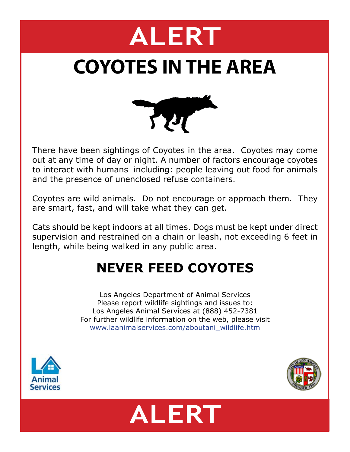# **ALERT**

## **COYOTES IN THE AREA**



There have been sightings of Coyotes in the area. Coyotes may come out at any time of day or night. A number of factors encourage coyotes to interact with humans including: people leaving out food for animals and the presence of unenclosed refuse containers.

Coyotes are wild animals. Do not encourage or approach them. They are smart, fast, and will take what they can get.

Cats should be kept indoors at all times. Dogs must be kept under direct supervision and restrained on a chain or leash, not exceeding 6 feet in length, while being walked in any public area.

### **NEVER FEED COYOTES**

Los Angeles Department of Animal Services Please report wildlife sightings and issues to: Los Angeles Animal Services at (888) 452-7381 For further wildlife information on the web, please visit www.laanimalservices.com/aboutani\_wildlife.htm





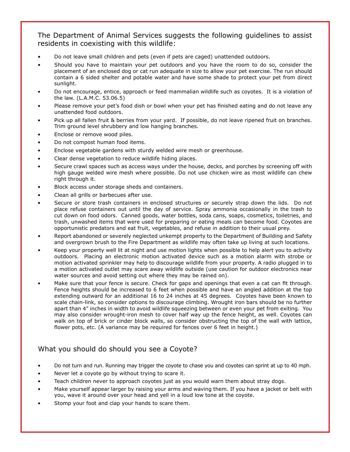#### The Department of Animal Services suggests the following guidelines to assist residents in coexisting with this wildlife:

- Do not leave small children and pets (even if pets are caged) unattended outdoors.
- Should you have to maintain your pet outdoors and you have the room to do so, consider the placement of an enclosed dog or cat run adequate in size to allow your pet exercise. The run should contain a 6 sided shelter and potable water and have some shade to protect your pet from direct sunlight.
- Do not encourage, entice, approach or feed mammalian wildlife such as coyotes. It is a violation of the law. (L.A.M.C. 53.06.5)
- Please remove your pet's food dish or bowl when your pet has finished eating and do not leave any unattended food outdoors.
- Pick up all fallen fruit & berries from your yard. If possible, do not leave ripened fruit on branches. Trim ground level shrubbery and low hanging branches.
- Enclose or remove wood piles.
- Do not compost human food items.
- Enclose vegetable gardens with sturdy welded wire mesh or greenhouse.
- Clear dense vegetation to reduce wildlife hiding places.
- Secure crawl spaces such as access ways under the house, decks, and porches by screening off with high gauge welded wire mesh where possible. Do not use chicken wire as most wildlife can chew right through it.
- Block access under storage sheds and containers.
- Clean all grills or barbecues after use.
- Secure or store trash containers in enclosed structures or securely strap down the lids. Do not place refuse containers out until the day of service. Spray ammonia occasionally in the trash to cut down on food odors. Canned goods, water bottles, soda cans, soaps, cosmetics, toiletries, and trash, unwashed items that were used for preparing or eating meals can become food. Coyotes are opportunistic predators and eat fruit, vegetables, and refuse in addition to their usual prey.
- Report abandoned or severely neglected unkempt property to the Department of Building and Safety and overgrown brush to the Fire Department as wildlife may often take up living at such locations.
- Keep your property well lit at night and use motion lights when possible to help alert you to activity outdoors. Placing an electronic motion activated device such as a motion alarm with strobe or motion activated sprinkler may help to discourage wildlife from your property. A radio plugged in to a motion activated outlet may scare away wildlife outside (use caution for outdoor electronics near water sources and avoid setting out where they may be rained on).
- Make sure that your fence is secure. Check for gaps and openings that even a cat can fit through. Fence heights should be increased to 6 feet when possible and have an angled addition at the top extending outward for an additional 16 to 24 inches at 45 degrees. Coyotes have been known to scale chain-link, so consider options to discourage climbing. Wrought iron bars should be no further apart than 4" inches in width to avoid wildlife squeezing between or even your pet from exiting. You may also consider wrought-iron mesh to cover half way up the fence height, as well. Coyotes can walk on top of brick or cinder block walls, so consider obstructing the top of the wall with lattice, flower pots, etc. (A variance may be required for fences over 6 feet in height.)

#### What you should do should you see a Coyote?

- Do not turn and run. Running may trigger the coyote to chase you and coyotes can sprint at up to 40 mph.
- Never let a coyote go by without trying to scare it.
- Teach children never to approach coyotes just as you would warn them about stray dogs.
- Make yourself appear larger by raising your arms and waving them. If you have a jacket or belt with you, wave it around over your head and yell in a loud low tone at the coyote.
- Stomp your foot and clap your hands to scare them.